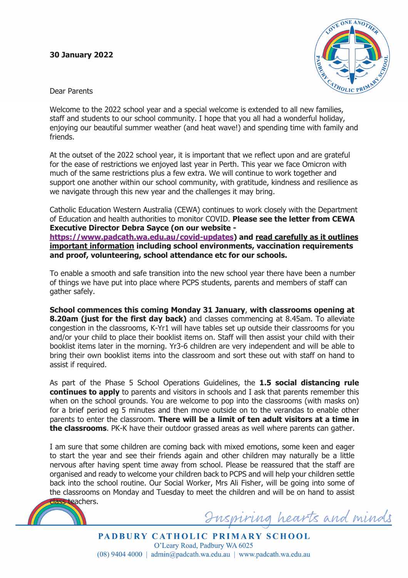## **30 January 2022**



Dear Parents

Welcome to the 2022 school year and a special welcome is extended to all new families, staff and students to our school community. I hope that you all had a wonderful holiday, enjoying our beautiful summer weather (and heat wave!) and spending time with family and friends.

At the outset of the 2022 school year, it is important that we reflect upon and are grateful for the ease of restrictions we enjoyed last year in Perth. This year we face Omicron with much of the same restrictions plus a few extra. We will continue to work together and support one another within our school community, with gratitude, kindness and resilience as we navigate through this new year and the challenges it may bring.

Catholic Education Western Australia (CEWA) continues to work closely with the Department of Education and health authorities to monitor COVID. **Please see the letter from CEWA Executive Director Debra Sayce (on our website -**

**https://www.padcath.wa.edu.au/covid-updates) and read carefully as it outlines important information including school environments, vaccination requirements and proof, volunteering, school attendance etc for our schools.**

To enable a smooth and safe transition into the new school year there have been a number of things we have put into place where PCPS students, parents and members of staff can gather safely.

**School commences this coming Monday 31 January**, **with classrooms opening at 8.20am (just for the first day back)** and classes commencing at 8.45am. To alleviate congestion in the classrooms, K-Yr1 will have tables set up outside their classrooms for you and/or your child to place their booklist items on. Staff will then assist your child with their booklist items later in the morning. Yr3-6 children are very independent and will be able to bring their own booklist items into the classroom and sort these out with staff on hand to assist if required.

As part of the Phase 5 School Operations Guidelines, the **1.5 social distancing rule continues to apply** to parents and visitors in schools and I ask that parents remember this when on the school grounds. You are welcome to pop into the classrooms (with masks on) for a brief period eg 5 minutes and then move outside on to the verandas to enable other parents to enter the classroom. **There will be a limit of ten adult visitors at a time in the classrooms**. PK-K have their outdoor grassed areas as well where parents can gather.

I am sure that some children are coming back with mixed emotions, some keen and eager to start the year and see their friends again and other children may naturally be a little nervous after having spent time away from school. Please be reassured that the staff are organised and ready to welcome your children back to PCPS and will help your children settle back into the school routine. Our Social Worker, Mrs Ali Fisher, will be going into some of the classrooms on Monday and Tuesday to meet the children and will be on hand to assist



uspiring hearts and minds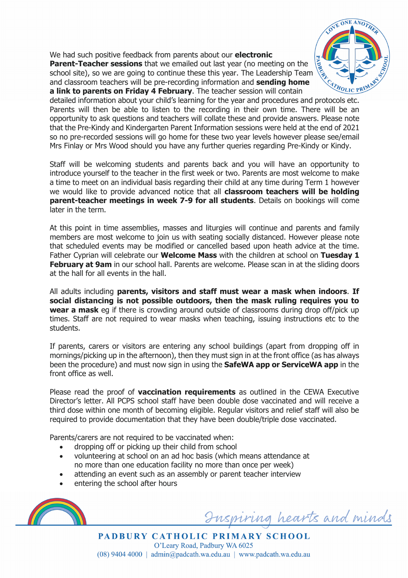We had such positive feedback from parents about our **electronic Parent-Teacher sessions** that we emailed out last year (no meeting on the school site), so we are going to continue these this year. The Leadership Team and classroom teachers will be pre-recording information and **sending home a link to parents on Friday 4 February**. The teacher session will contain



detailed information about your child's learning for the year and procedures and protocols etc. Parents will then be able to listen to the recording in their own time. There will be an opportunity to ask questions and teachers will collate these and provide answers. Please note that the Pre-Kindy and Kindergarten Parent Information sessions were held at the end of 2021 so no pre-recorded sessions will go home for these two year levels however please see/email Mrs Finlay or Mrs Wood should you have any further queries regarding Pre-Kindy or Kindy.

Staff will be welcoming students and parents back and you will have an opportunity to introduce yourself to the teacher in the first week or two. Parents are most welcome to make a time to meet on an individual basis regarding their child at any time during Term 1 however we would like to provide advanced notice that all **classroom teachers will be holding parent-teacher meetings in week 7-9 for all students**. Details on bookings will come later in the term.

At this point in time assemblies, masses and liturgies will continue and parents and family members are most welcome to join us with seating socially distanced. However please note that scheduled events may be modified or cancelled based upon heath advice at the time. Father Cyprian will celebrate our **Welcome Mass** with the children at school on **Tuesday 1 February at 9am** in our school hall. Parents are welcome. Please scan in at the sliding doors at the hall for all events in the hall.

All adults including **parents, visitors and staff must wear a mask when indoors**. **If social distancing is not possible outdoors, then the mask ruling requires you to wear a mask** eg if there is crowding around outside of classrooms during drop off/pick up times. Staff are not required to wear masks when teaching, issuing instructions etc to the students.

If parents, carers or visitors are entering any school buildings (apart from dropping off in mornings/picking up in the afternoon), then they must sign in at the front office (as has always been the procedure) and must now sign in using the **SafeWA app or ServiceWA app** in the front office as well.

Please read the proof of **vaccination requirements** as outlined in the CEWA Executive Director's letter. All PCPS school staff have been double dose vaccinated and will receive a third dose within one month of becoming eligible. Regular visitors and relief staff will also be required to provide documentation that they have been double/triple dose vaccinated.

Parents/carers are not required to be vaccinated when:

- dropping off or picking up their child from school
- volunteering at school on an ad hoc basis (which means attendance at no more than one education facility no more than once per week)
- attending an event such as an assembly or parent teacher interview
- entering the school after hours



uspiring hearts and minds

PADBURY CATHOLIC PRIMARY SCHOOL O'Leary Road, Padbury WA 6025  $(08)$  9404 4000 | admin@padcath.wa.edu.au | www.padcath.wa.edu.au